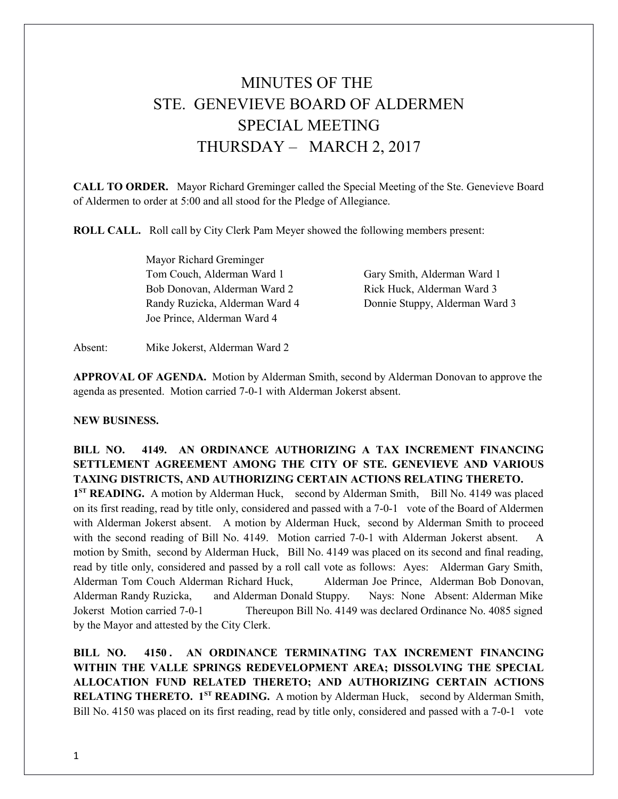## MINUTES OF THE STE. GENEVIEVE BOARD OF ALDERMEN SPECIAL MEETING THURSDAY – MARCH 2, 2017

**CALL TO ORDER.** Mayor Richard Greminger called the Special Meeting of the Ste. Genevieve Board of Aldermen to order at 5:00 and all stood for the Pledge of Allegiance.

**ROLL CALL.** Roll call by City Clerk Pam Meyer showed the following members present:

Mayor Richard Greminger Tom Couch, Alderman Ward 1 Gary Smith, Alderman Ward 1 Bob Donovan, Alderman Ward 2 Rick Huck, Alderman Ward 3 Randy Ruzicka, Alderman Ward 4 Donnie Stuppy, Alderman Ward 3 Joe Prince, Alderman Ward 4

Absent: Mike Jokerst, Alderman Ward 2

**APPROVAL OF AGENDA.** Motion by Alderman Smith, second by Alderman Donovan to approve the agenda as presented. Motion carried 7-0-1 with Alderman Jokerst absent.

## **NEW BUSINESS.**

## **BILL NO. 4149. AN ORDINANCE AUTHORIZING A TAX INCREMENT FINANCING SETTLEMENT AGREEMENT AMONG THE CITY OF STE. GENEVIEVE AND VARIOUS TAXING DISTRICTS, AND AUTHORIZING CERTAIN ACTIONS RELATING THERETO.**

1<sup>ST</sup> READING. A motion by Alderman Huck, second by Alderman Smith, Bill No. 4149 was placed on its first reading, read by title only, considered and passed with a 7-0-1 vote of the Board of Aldermen with Alderman Jokerst absent. A motion by Alderman Huck, second by Alderman Smith to proceed with the second reading of Bill No. 4149. Motion carried 7-0-1 with Alderman Jokerst absent. A motion by Smith, second by Alderman Huck, Bill No. 4149 was placed on its second and final reading, read by title only, considered and passed by a roll call vote as follows: Ayes: Alderman Gary Smith, Alderman Tom Couch Alderman Richard Huck, Alderman Joe Prince, Alderman Bob Donovan, Alderman Randy Ruzicka, and Alderman Donald Stuppy. Nays: None Absent: Alderman Mike Jokerst Motion carried 7-0-1 Thereupon Bill No. 4149 was declared Ordinance No. 4085 signed by the Mayor and attested by the City Clerk.

**BILL NO. 4150 . AN ORDINANCE TERMINATING TAX INCREMENT FINANCING WITHIN THE VALLE SPRINGS REDEVELOPMENT AREA; DISSOLVING THE SPECIAL ALLOCATION FUND RELATED THERETO; AND AUTHORIZING CERTAIN ACTIONS RELATING THERETO. 1ST READING.** A motion by Alderman Huck, second by Alderman Smith, Bill No. 4150 was placed on its first reading, read by title only, considered and passed with a 7-0-1 vote